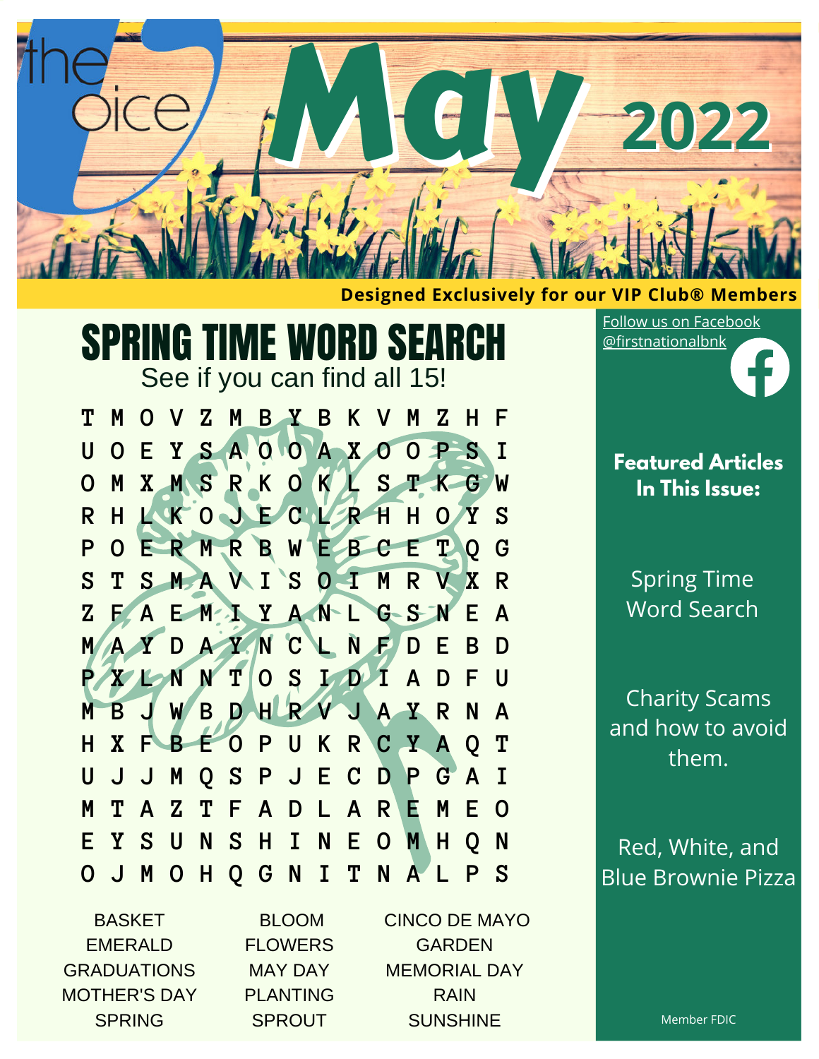

#### **Designed Exclusively for our VIP Club® Members**

# SPRING TIME WORD SEARCH

See if you can find all 15!

**T M O V Z M B Y B K V M Z H F U O E Y S A O O A X O O P S I O M X M S R K O K L S T K G W R H L K O J E C L R H H O Y S P O E R M R B W E B C E T Q G S T S M A V I S O I M R V X R Z F A E M I Y A N L G S N E A M A Y D A Y N C L N F D E B D P X L N N T O S I D I A D F U M B J W B D H R V J A Y R N A H X F B E O P U K R C Y A Q T U J J M Q S P J E C D P G A I M T A Z T F A D L A R E M E O E Y S U N S H I N E O M H Q N O J M O H Q G N I T N A L P S**

**BASKET** EMERALD GRADUATIONS MOTHER'S DAY SPRING

BLOOM FLOWERS MAY DAY PLANTING **SPROUT** 

CINCO DE MAYO GARDEN MEMORIAL DAY RAIN **SUNSHINE** 

Follow us on [Facebook](https://www.facebook.com/firstnationalbnk) [@firstnationalbnk](https://www.facebook.com/firstnationalbnk)

> **Featured Articles In This Issue:**

Spring Time Word Search

Charity Scams and how to avoid them.

Red, White, and Blue Brownie Pizza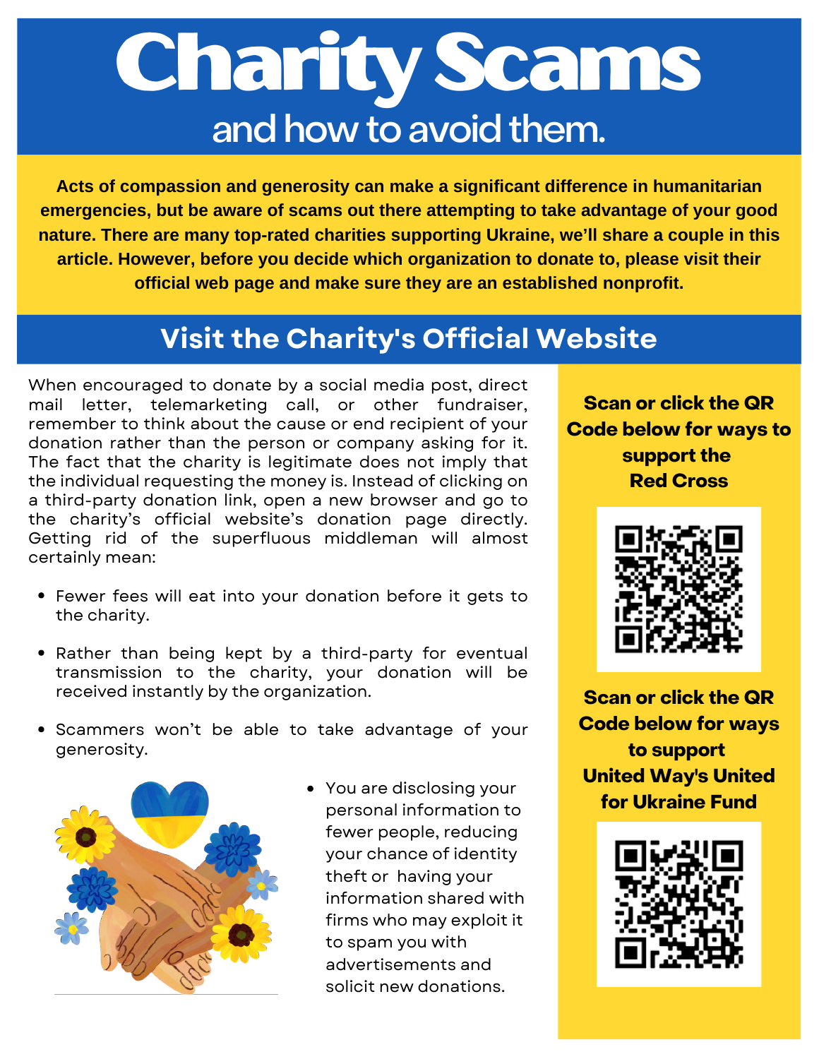# CharityScams and how to avoid them.

**Acts of compassion and generosity can make a significant difference in humanitarian emergencies, but be aware of scams out there attempting to take advantage of your good nature. There are many top-rated charities supporting Ukraine, we'll share a couple in this article. However, before you decide which organization to donate to, please visit their official web page and make sure they are an established nonprofit.**

### **Visit the Charity's Official Website**

When encouraged to donate by a social media post, direct mail letter, telemarketing call, or other fundraiser, remember to think about the cause or end recipient of your donation rather than the person or company asking for it. The fact that the charity is legitimate does not imply that the individual requesting the money is. Instead of clicking on a third-party donation link, open a new browser and go to the charity's official website's donation page directly. Getting rid of the superfluous middleman will almost certainly mean:

- Fewer fees will eat into your donation before it gets to the charity.
- Rather than being kept by a third-party for eventual transmission to the charity, your donation will be received instantly by the organization.
- Scammers won't be able to take advantage of your generosity.



You are disclosing your personal information to fewer people, reducing your chance of identity theft or having your information shared with firms who may exploit it to spam you with advertisements and solicit new donations.

**Scan or click the QR Code below for ways to support the Red Cross**



**Scan or click the QR Code below for ways to support United Way's United for Ukraine Fund**

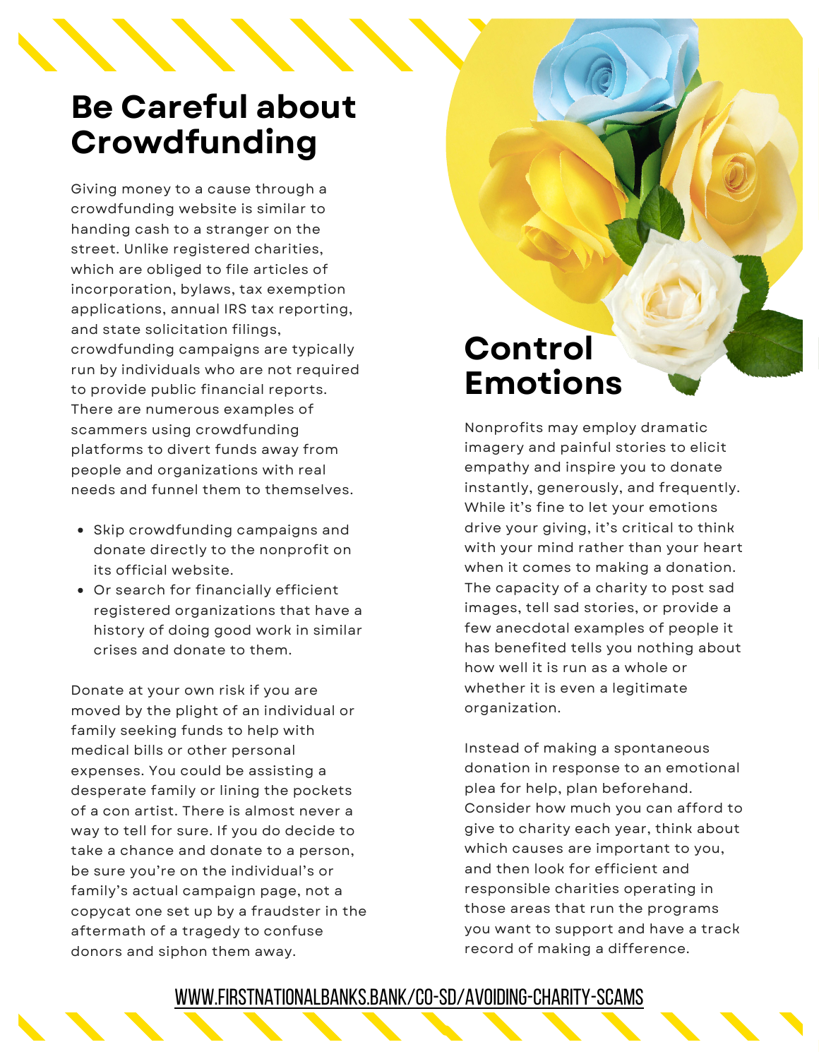## **Be Careful about Crowdfunding**

Giving money to a cause through a crowdfunding website is similar to handing cash to a stranger on the street. Unlike registered charities, which are obliged to file articles of incorporation, bylaws, tax exemption applications, annual IRS tax reporting, and state solicitation filings, crowdfunding campaigns are typically run by individuals who are not required to provide public financial reports. There are numerous examples of scammers using crowdfunding platforms to divert funds away from people and organizations with real needs and funnel them to themselves.

- Skip crowdfunding campaigns and donate directly to the nonprofit on its official website.
- Or search for financially efficient registered organizations that have a history of doing good work in similar crises and donate to them.

Donate at your own risk if you are moved by the plight of an individual or family seeking funds to help with medical bills or other personal expenses. You could be assisting a desperate family or lining the pockets of a con artist. There is almost never a way to tell for sure. If you do decide to take a chance and donate to a person, be sure you're on the individual's or family's actual campaign page, not a copycat one set up by a fraudster in the aftermath of a tragedy to confuse donors and siphon them away.

## **Control Emotions**

Nonprofits may employ dramatic imagery and painful stories to elicit empathy and inspire you to donate instantly, generously, and frequently. While it's fine to let your emotions drive your giving, it's critical to think with your mind rather than your heart when it comes to making a donation. The capacity of a charity to post sad images, tell sad stories, or provide a few anecdotal examples of people it has benefited tells you nothing about how well it is run as a whole or whether it is even a legitimate organization.

Instead of making a spontaneous donation in response to an emotional plea for help, plan beforehand. Consider how much you can afford to give to charity each year, think about which causes are important to you, and then look for efficient and responsible charities operating in those areas that run the programs you want to support and have a track record of making a difference.

#### [www.firstnationalbanks.bank/co-sd/avoiding-charity-scams](https://www.firstnationalbanks.bank/co-sd/avoiding-charity-scams/)